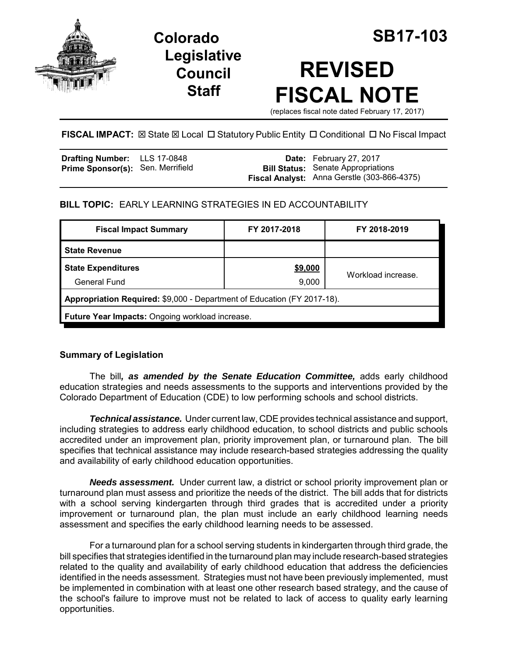

**Legislative Council Staff**

# **REVISED FISCAL NOTE**

(replaces fiscal note dated February 17, 2017)

# **FISCAL IMPACT:**  $\boxtimes$  **State**  $\boxtimes$  **Local □ Statutory Public Entity □ Conditional □ No Fiscal Impact**

| <b>Drafting Number:</b> LLS 17-0848      |  | <b>Date:</b> February 27, 2017              |
|------------------------------------------|--|---------------------------------------------|
| <b>Prime Sponsor(s): Sen. Merrifield</b> |  | <b>Bill Status:</b> Senate Appropriations   |
|                                          |  | Fiscal Analyst: Anna Gerstle (303-866-4375) |

# **BILL TOPIC:** EARLY LEARNING STRATEGIES IN ED ACCOUNTABILITY

| <b>Fiscal Impact Summary</b>                                            | FY 2017-2018 | FY 2018-2019       |  |  |  |
|-------------------------------------------------------------------------|--------------|--------------------|--|--|--|
| <b>State Revenue</b>                                                    |              |                    |  |  |  |
| <b>State Expenditures</b>                                               | \$9,000      | Workload increase. |  |  |  |
| <b>General Fund</b>                                                     | 9,000        |                    |  |  |  |
| Appropriation Required: \$9,000 - Department of Education (FY 2017-18). |              |                    |  |  |  |
| Future Year Impacts: Ongoing workload increase.                         |              |                    |  |  |  |

# **Summary of Legislation**

The bill*, as amended by the Senate Education Committee,* adds early childhood education strategies and needs assessments to the supports and interventions provided by the Colorado Department of Education (CDE) to low performing schools and school districts.

*Technical assistance.* Under current law, CDE provides technical assistance and support, including strategies to address early childhood education, to school districts and public schools accredited under an improvement plan, priority improvement plan, or turnaround plan. The bill specifies that technical assistance may include research-based strategies addressing the quality and availability of early childhood education opportunities.

*Needs assessment.* Under current law, a district or school priority improvement plan or turnaround plan must assess and prioritize the needs of the district. The bill adds that for districts with a school serving kindergarten through third grades that is accredited under a priority improvement or turnaround plan, the plan must include an early childhood learning needs assessment and specifies the early childhood learning needs to be assessed.

For a turnaround plan for a school serving students in kindergarten through third grade, the bill specifies that strategies identified in the turnaround plan may include research-based strategies related to the quality and availability of early childhood education that address the deficiencies identified in the needs assessment. Strategies must not have been previously implemented, must be implemented in combination with at least one other research based strategy, and the cause of the school's failure to improve must not be related to lack of access to quality early learning opportunities.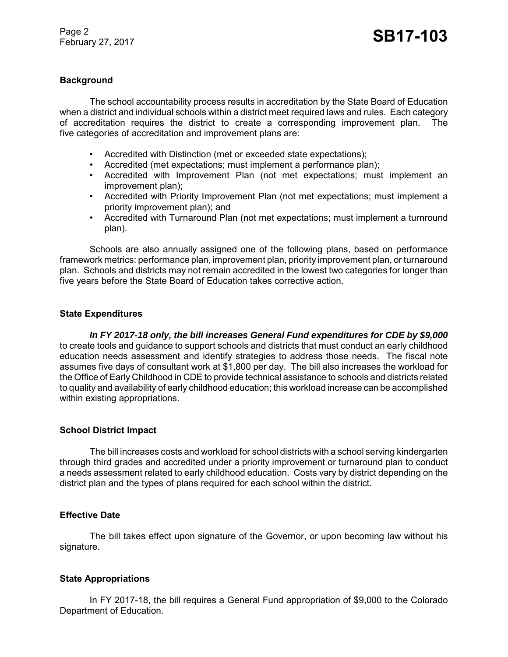Page 2 Page 2<br>February 27, 2017 **SB17-103** 

### **Background**

The school accountability process results in accreditation by the State Board of Education when a district and individual schools within a district meet required laws and rules. Each category of accreditation requires the district to create a corresponding improvement plan. The five categories of accreditation and improvement plans are:

- Accredited with Distinction (met or exceeded state expectations);
- Accredited (met expectations; must implement a performance plan);
- Accredited with Improvement Plan (not met expectations; must implement an improvement plan);
- Accredited with Priority Improvement Plan (not met expectations; must implement a priority improvement plan); and
- Accredited with Turnaround Plan (not met expectations; must implement a turnround plan).

Schools are also annually assigned one of the following plans, based on performance framework metrics: performance plan, improvement plan, priority improvement plan, or turnaround plan. Schools and districts may not remain accredited in the lowest two categories for longer than five years before the State Board of Education takes corrective action.

#### **State Expenditures**

*In FY 2017-18 only, the bill increases General Fund expenditures for CDE by \$9,000* to create tools and guidance to support schools and districts that must conduct an early childhood education needs assessment and identify strategies to address those needs. The fiscal note assumes five days of consultant work at \$1,800 per day. The bill also increases the workload for the Office of Early Childhood in CDE to provide technical assistance to schools and districts related to quality and availability of early childhood education; this workload increase can be accomplished within existing appropriations.

#### **School District Impact**

The bill increases costs and workload for school districts with a school serving kindergarten through third grades and accredited under a priority improvement or turnaround plan to conduct a needs assessment related to early childhood education. Costs vary by district depending on the district plan and the types of plans required for each school within the district.

# **Effective Date**

The bill takes effect upon signature of the Governor, or upon becoming law without his signature.

#### **State Appropriations**

In FY 2017-18, the bill requires a General Fund appropriation of \$9,000 to the Colorado Department of Education.